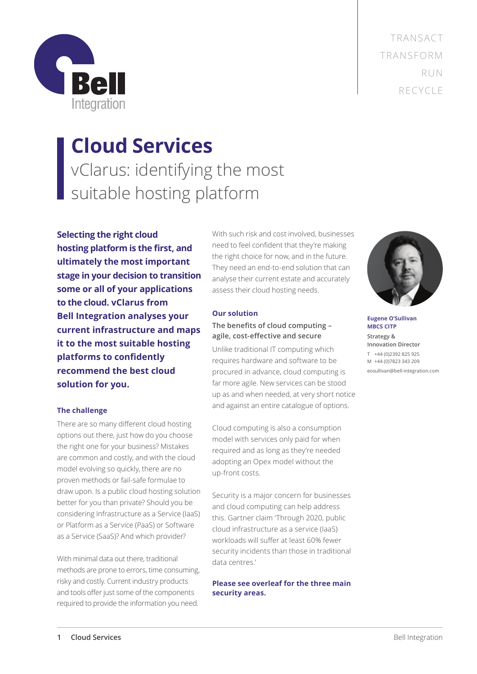TRANSACT TRANSFORM RUN RECYCLE



# **Cloud Services** vClarus: identifying the most suitable hosting platform

**Selecting the right cloud hosting platform is the first, and ultimately the most important stage in your decision to transition some or all of your applications to the cloud. vClarus from Bell Integration analyses your current infrastructure and maps it to the most suitable hosting platforms to confidently recommend the best cloud solution for you.** 

## **The challenge**

There are so many different cloud hosting options out there, just how do you choose the right one for your business? Mistakes are common and costly, and with the cloud model evolving so quickly, there are no proven methods or fail-safe formulae to draw upon. Is a public cloud hosting solution better for you than private? Should you be considering Infrastructure as a Service (IaaS) or Platform as a Service (PaaS) or Software as a Service (SaaS)? And which provider?

With minimal data out there, traditional methods are prone to errors, time consuming, risky and costly. Current industry products and tools offer just some of the components required to provide the information you need.

With such risk and cost involved, businesses need to feel confident that they're making the right choice for now, and in the future. They need an end-to-end solution that can analyse their current estate and accurately assess their cloud hosting needs.

## **Our solution**

## **The benefits of cloud computing – agile, cost-effective and secure**

Unlike traditional IT computing which requires hardware and software to be procured in advance, cloud computing is far more agile. New services can be stood up as and when needed, at very short notice and against an entire catalogue of options.

Cloud computing is also a consumption model with services only paid for when required and as long as they're needed adopting an Opex model without the up-front costs.

Security is a major concern for businesses and cloud computing can help address this. Gartner claim 'Through 2020, public cloud infrastructure as a service (IaaS) workloads will suffer at least 60% fewer security incidents than those in traditional data centres.'

## **Please see overleaf for the three main security areas.**



**Eugene O'Sullivan MBCS CITP Strategy & Innovation Director** T +44 (0)2392 825 925 M +44 (0)7823 343 209 eosullivan@bell-integration.com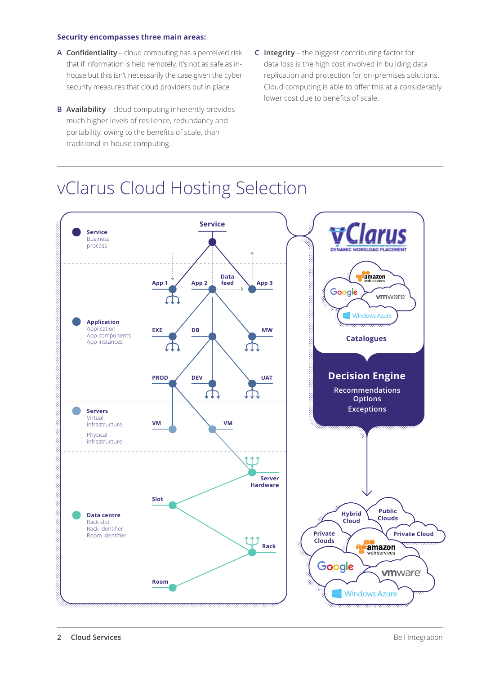## **Security encompasses three main areas:**

- **A Confidentiality** cloud computing has a perceived risk that if information is held remotely, it's not as safe as inhouse but this isn't necessarily the case given the cyber security measures that cloud providers put in place.
- **B Availability**  cloud computing inherently provides much higher levels of resilience, redundancy and portability, owing to the benefits of scale, than traditional in-house computing.
- **C Integrity** the biggest contributing factor for data loss is the high cost involved in building data replication and protection for on-premises solutions. Cloud computing is able to offer this at a considerably lower cost due to benefits of scale.

## vClarus Cloud Hosting Selection